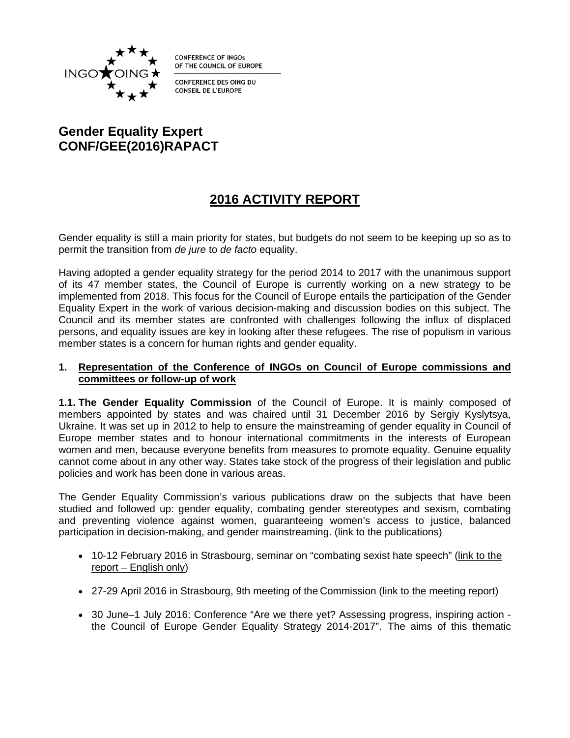

**CONFERENCE OF INGOS** OF THE COUNCIL OF EUROPE

**CONFERENCE DES OING DU CONSEIL DE L'EUROPE** 

# **Gender Equality Expert CONF/GEE(2016)RAPACT**

# **2016 ACTIVITY REPORT**

Gender equality is still a main priority for states, but budgets do not seem to be keeping up so as to permit the transition from *de jure* to *de facto* equality.

Having adopted a gender equality strategy for the period 2014 to 2017 with the unanimous support of its 47 member states, the Council of Europe is currently working on a new strategy to be implemented from 2018. This focus for the Council of Europe entails the participation of the Gender Equality Expert in the work of various decision-making and discussion bodies on this subject. The Council and its member states are confronted with challenges following the influx of displaced persons, and equality issues are key in looking after these refugees. The rise of populism in various member states is a concern for human rights and gender equality.

## **1. Representation of the Conference of INGOs on Council of Europe commissions and committees or follow-up of work**

**1.1. The Gender Equality Commission** of the Council of Europe. It is mainly composed of members appointed by states and was chaired until 31 December 2016 by Sergiy Kyslytsya, Ukraine. It was set up in 2012 to help to ensure the mainstreaming of gender equality in Council of Europe member states and to honour international commitments in the interests of European women and men, because everyone benefits from measures to promote equality. Genuine equality cannot come about in any other way. States take stock of the progress of their legislation and public policies and work has been done in various areas.

The Gender Equality Commission's various publications draw on the subjects that have been studied and followed up: gender equality, combating gender stereotypes and sexism, combating and preventing violence against women, guaranteeing women's access to justice, balanced participation in decision-making, and gender mainstreaming. [\(link to the publications](http://www.coe.int/fr/web/genderequality/publications))

- 10-12 February 2016 in Strasbourg, seminar on "combating sexist hate speech" [\(link to the](https://rm.coe.int/CoERMPublicCommonSearchServices/DisplayDCTMContent?documentId=0900001680665ede)  [report – English only\)](https://rm.coe.int/CoERMPublicCommonSearchServices/DisplayDCTMContent?documentId=0900001680665ede)
- 27-29 April 2016 in Strasbourg, 9th meeting of the Commission [\(link to the meeting report](https://rm.coe.int/CoERMPublicCommonSearchServices/DisplayDCTMContent?documentId=090000168064f4ec))
- 30 June–1 July 2016: Conference "Are we there yet? Assessing progress, inspiring action the Council of Europe Gender Equality Strategy 2014-2017". The aims of this thematic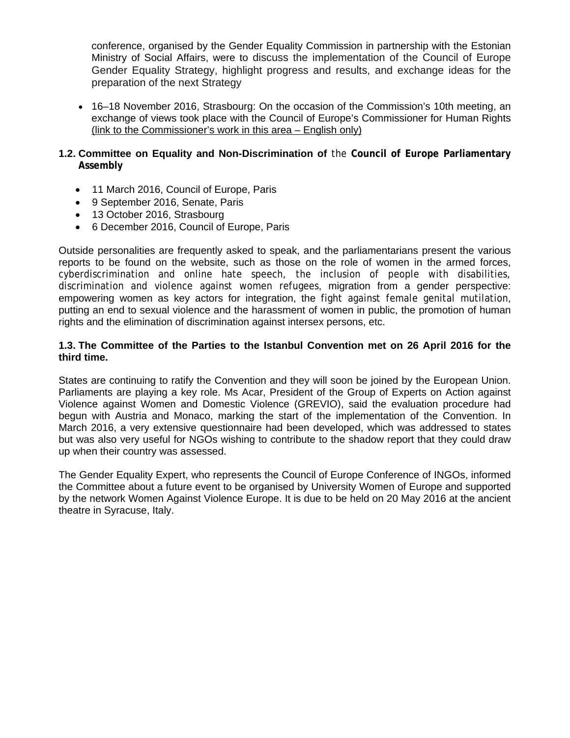[conference, o](http://www.coe.int/fr/web/genderequality/tallinn-conference)rganised by the Gender Equality Commission in partnership with the Estonian Ministry of Social Affairs, were to discuss the implementation of the Council of Europe Gender Equality Strategy, highlight progress and results, and exchange ideas for the preparation of the next Strategy

- 16–18 November 2016, Strasbourg: On the occasion of the Commission's 10th meeting, an exchange of views took place with the Council of Europe's Commissioner for Human Rights [\(link to the Commissioner's work in this area – English only\)](https://rm.coe.int/CoERMPublicCommonSearchServices/DisplayDCTMContent?documentId=09000016806bfc32)
- **1.2. [Committee on Equality and Non-Discrimination of](http://website-pace.net/fr/web/as-ega/main)** the **Council of Europe Parliamentary Assembly**
	- 11 March 2016, Council of Europe, Paris
	- 9 September 2016, Senate, Paris
	- 13 October 2016, Strasbourg
	- 6 December 2016, Council of Europe, Paris

Outside personalities are frequently asked to speak, and the parliamentarians present the various reports to be found on the website, such as those on the role of women in the armed forces, cyberdiscrimination and online hate speech, the inclusion of people with disabilities, discrimination and violence against women refugees, migration from a gender perspective: empowering women as key actors for integration, the fight against female genital mutilation, putting an end to sexual violence and the harassment of women in public, the promotion of human rights and the elimination of discrimination against intersex persons, etc.

## **1.3. The Committee of the Parties to the Istanbul Convention met on 26 April 2016 for the third time.**

States are continuing to ratify the [Convention](https://rm.coe.int/CoERMPublicCommonSearchServices/DisplayDCTMContent?documentId=0900001680462533) and they will soon be joined by the European Union. Parliaments are playing a key role. Ms Acar, President of the Group of Experts on Action against Violence against Women and Domestic Violence (GREVIO), said the evaluation procedure had begun with Austria and Monaco, marking the start of the implementation of the [Convention](https://rm.coe.int/CoERMPublicCommonSearchServices/DisplayDCTMContent?documentId=0900001680462533). In March 2016, a very extensive questionnaire had been developed, which was addressed to states but was also very useful for NGOs wishing to contribute to the shadow report that they could draw up when their country was assessed.

The Gender Equality Expert, who represents the Council of Europe Conference of INGOs, informed the Committee about a future event to be organised by University Women of Europe and supported by the network Women Against Violence Europe. It is due to be held on 20 May 2016 at the ancient theatre in Syracuse, Italy.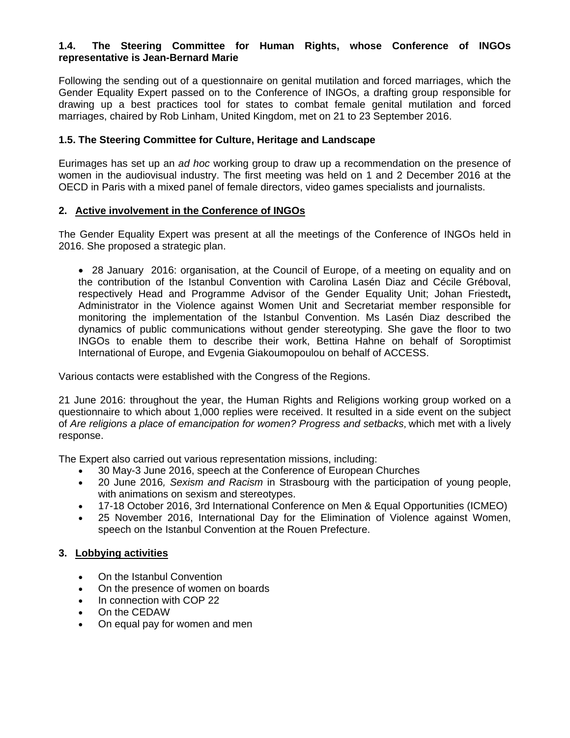# **1.4. The Steering Committee for Human Rights, whose Conference of INGOs representative is Jean-Bernard Marie**

Following the sending out of a questionnaire on genital mutilation and forced marriages, which the Gender Equality Expert passed on to the Conference of INGOs, a drafting group responsible for drawing up a best practices tool for states to combat female genital mutilation and forced marriages, chaired by Rob Linham, United Kingdom, met on 21 to 23 September 2016.

## **1.5. The Steering Committee for Culture, Heritage and Landscape**

Eurimages has set up an *ad hoc* working group to draw up a recommendation on the presence of women in the audiovisual industry. The first meeting was held on 1 and 2 December 2016 at the OECD in Paris with a mixed panel of female directors, video games specialists and journalists.

## **2. Active involvement in the Conference of INGOs**

The Gender Equality Expert was present at all the meetings of the Conference of INGOs held in 2016. She proposed a strategic plan.

 28 January 2016: organisation, at the Council of Europe, of a meeting on equality and on the contribution of the Istanbul Convention with Carolina Lasén Diaz and Cécile Gréboval, respectively Head and Programme Advisor of the Gender Equality Unit; Johan Friestedt**,** Administrator in the Violence against Women Unit and Secretariat member responsible for monitoring the implementation of the Istanbul Convention. Ms Lasén Diaz described the dynamics of public communications without gender stereotyping. She gave the floor to two INGOs to enable them to describe their work, Bettina Hahne on behalf of Soroptimist International of Europe, and Evgenia Giakoumopoulou on behalf of ACCESS.

Various contacts were established with the Congress of the Regions.

21 June 2016: throughout the year, the Human Rights and Religions working group worked on a questionnaire to which about 1,000 replies were received. It resulted in a side event on the subject of *[Are religions a place of emancipation for women? Progress and setbacks](https://rm.coe.int/CoERMPublicCommonSearchServices/DisplayDCTMContent?documentId=090000168066599b)*, which met with a lively response.

The Expert also carried out various representation missions, including:

- 30 May-3 June 2016, speech at the Conference of European Churches
- 20 June 2016*, Sexism and Racism* in Strasbourg with the participation of young people, with animations on sexism and stereotypes.
- 17-18 October 2016, 3rd International Conference on Men & Equal Opportunities (ICMEO)
- 25 November 2016, International Day for the Elimination of Violence against Women, speech on the Istanbul Convention at the Rouen Prefecture.

# **3. Lobbying activities**

- On the Istanbul Convention
- On the presence of women on boards
- In connection with COP 22
- On the CEDAW
- On equal pay for women and men